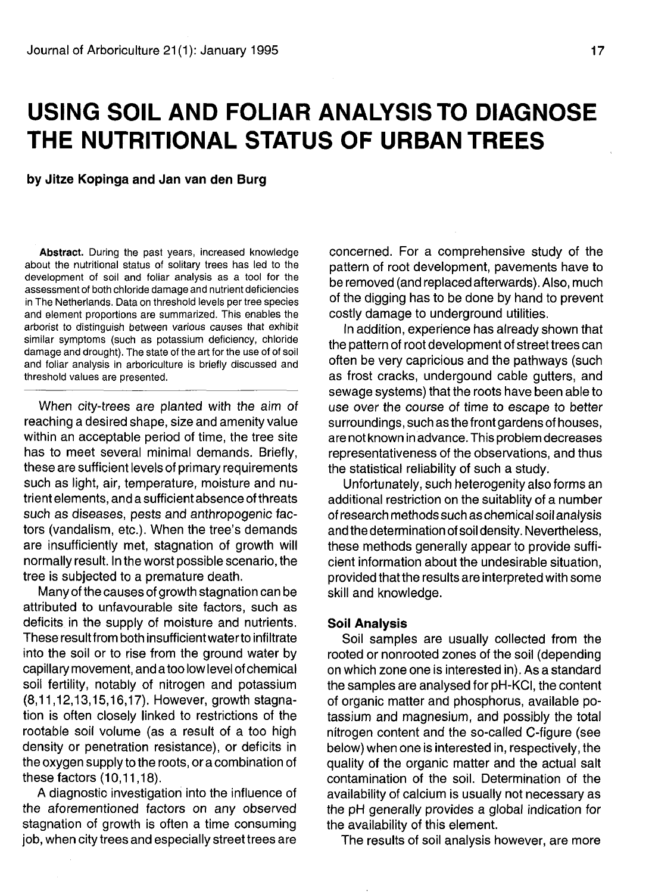# **USING SOIL AND FOLIAR ANALYSIS TO DIAGNOSE THE NUTRITIONAL STATUS OF URBAN TREES**

**by Jitze Kopinga and Jan van den Burg**

**Abstract.** During the past years, increased knowledge about the nutritional status of solitary trees has led to the development of soil and foliar analysis as a tool for the assessment of both chloride damage and nutrient deficiencies in The Netherlands. Data on threshold levels per tree species and element proportions are summarized. This enables the arborist to distinguish between various causes that exhibit similar symptoms (such as potassium deficiency, chloride damage and drought). The state of the art for the use of of soil and foliar analysis in arboriculture is briefly discussed and threshold values are presented.

When city-trees are planted with the aim of reaching a desired shape, size and amenity value within an acceptable period of time, the tree site has to meet several minimal demands. Briefly, these are sufficient levels of primary requirements such as light, air, temperature, moisture and nutrient elements, and a sufficient absence of threats such as diseases, pests and anthropogenic factors (vandalism, etc.). When the tree's demands are insufficiently met, stagnation of growth will normally result. In the worst possible scenario, the tree is subjected to a premature death.

Many of the causes of growth stagnation can be attributed to unfavourable site factors, such as deficits in the supply of moisture and nutrients. These result from both insufficient water to infiltrate into the soil or to rise from the ground water by capillary movement, and a too low level of chemical soil fertility, notably of nitrogen and potassium (8,11,12,13,15,16,17). However, growth stagnation is often closely linked to restrictions of the rootable soil volume (as a result of a too high density or penetration resistance), or deficits in the oxygen supply to the roots, or a combination of these factors (10,11,18).

A diagnostic investigation into the influence of the aforementioned factors on any observed stagnation of growth is often a time consuming job, when city trees and especially street trees are

concerned. For a comprehensive study of the pattern of root development, pavements have to be removed (and replaced afterwards). Also, much of the digging has to be done by hand to prevent costly damage to underground utilities.

In addition, experience has already shown that the pattern of root development of street trees can often be very capricious and the pathways (such as frost cracks, undergound cable gutters, and sewage systems) that the roots have been able to use over the course of time to escape to better surroundings, such as the front gardens of houses, are not known in advance. This problem decreases representativeness of the observations, and thus the statistical reliability of such a study.

Unfortunately, such heterogenity also forms an additional restriction on the suitablity of a number of research methods such as chemical soil analysis and the determination of soil density. Nevertheless, these methods generally appear to provide sufficient information about the undesirable situation, provided that the results are interpreted with some skill and knowledge.

#### **Soil Analysis**

Soil samples are usually collected from the rooted or nonrooted zones of the soil (depending on which zone one is interested in). As a standard the samples are analysed for pH-KCI, the content of organic matter and phosphorus, available potassium and magnesium, and possibly the total nitrogen content and the so-called C-figure (see below) when one is interested in, respectively, the quality of the organic matter and the actual salt contamination of the soil. Determination of the availability of calcium is usually not necessary as the pH generally provides a global indication for the availability of this element.

The results of soil analysis however, are more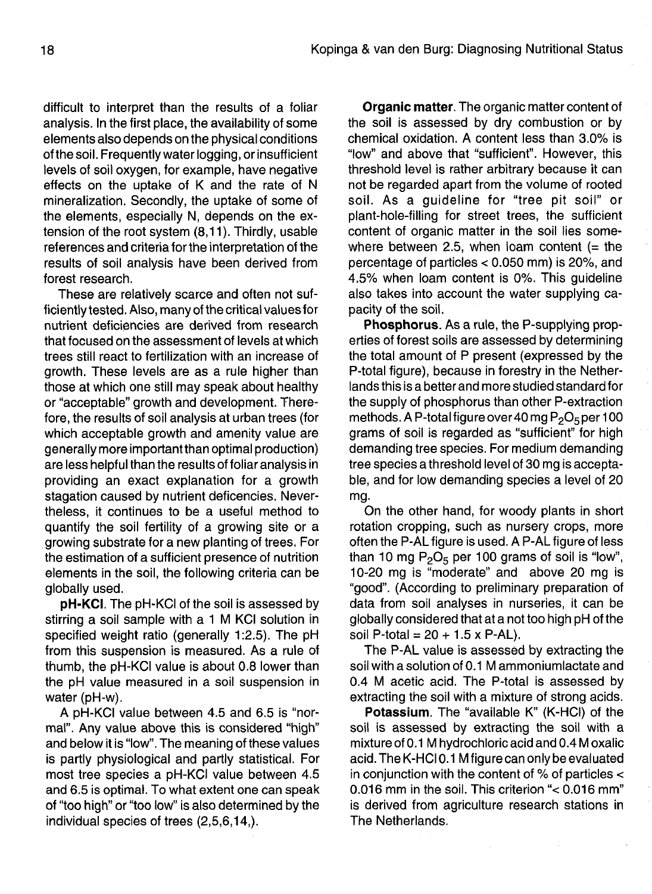difficult to interpret than the results of a foliar analysis. In the first place, the availability of some elements also depends on the physical conditions ofthe soil. Frequently waterlogging, or insufficient levels of soil oxygen, for example, have negative effects on the uptake of K and the rate of N mineralization. Secondly, the uptake of some of the elements, especially N, depends on the extension of the root system (8,11). Thirdly, usable references and criteria for the interpretation of the results of soil analysis have been derived from forest research.

These are relatively scarce and often not sufficiently tested. Also, many of the critical values for nutrient deficiencies are derived from research that focused on the assessment of levels at which trees still react to fertilization with an increase of growth. These levels are as a rule higher than those at which one still may speak about healthy or "acceptable" growth and development. Therefore, the results of soil analysis at urban trees (for which acceptable growth and amenity value are generally more important than optimal production) are less helpful than the results of foliar analysis in providing an exact explanation for a growth stagation caused by nutrient deficencies. Nevertheless, it continues to be a useful method to quantify the soil fertility of a growing site or a growing substrate for a new planting of trees. For the estimation of a sufficient presence of nutrition elements in the soil, the following criteria can be globally used.

**pH-KCI.** The pH-KCI of the soil is assessed by stirring a soil sample with a 1 M KCI solution in specified weight ratio (generally 1:2.5). The pH from this suspension is measured. As a rule of thumb, the pH-KCI value is about 0.8 lower than the pH value measured in a soil suspension in water (pH-w).

A pH-KCI value between 4.5 and 6.5 is "normal". Any value above this is considered "high" and below it is "low". The meaning of these values is partly physiological and partly statistical. For most tree species a pH-KCI value between 4.5 and 6.5 is optimal. To what extent one can speak of "too high" or "too low" is also determined by the individual species of trees (2,5,6,14,).

**Organic matter.** The organic matter content of the soil is assessed by dry combustion or by chemical oxidation. A content less than 3.0% is "low" and above that "sufficient". However, this threshold level is rather arbitrary because it can not be regarded apart from the volume of rooted soil. As a guideline for "tree pit soil" or plant-hole-filling for street trees, the sufficient content of organic matter in the soil lies somewhere between 2.5, when loam content  $(=$  the percentage of particles < 0.050 mm) is 20%, and 4.5% when loam content is 0%. This guideline also takes into account the water supplying capacity of the soil.

**Phosphorus.** As a rule, the P-supplying properties of forest soils are assessed by determining the total amount of P present (expressed by the P-total figure), because in forestry in the Netherlands this is a better and more studied standard for the supply of phosphorus than other P-extraction methods. A P-total figure over 40 mg  $P_2O_5$  per 100 grams of soil is regarded as "sufficient" for high demanding tree species. For medium demanding tree species a threshold level of 30 mg is acceptable, and for low demanding species a level of 20 mg.

On the other hand, for woody plants in short rotation cropping, such as nursery crops, more often the P-AL figure is used. A P-AL figure of less than 10 mg  $P_2O_5$  per 100 grams of soil is "low", 10-20 mg is "moderate" and above 20 mg is "good". (According to preliminary preparation of data from soil analyses in nurseries, it can be globally considered that at a not too high pH of the soil P-total =  $20 + 1.5 \times P$ -AL).

The P-AL value is assessed by extracting the soil with a solution of 0.1 M ammoniumlactate and 0.4 M acetic acid. The P-total is assessed by extracting the soil with a mixture of strong acids.

**Potassium.** The "available K" (K-HCI) of the soil is assessed by extracting the soil with a mixture of 0.1 M hydrochloric acid and 0.4 M oxalic acid. The K-HCI 0.1 M figure can only be evaluated in conjunction with the content of % of particles < 0.016 mm in the soil. This criterion "< 0.016 mm" is derived from agriculture research stations in The Netherlands.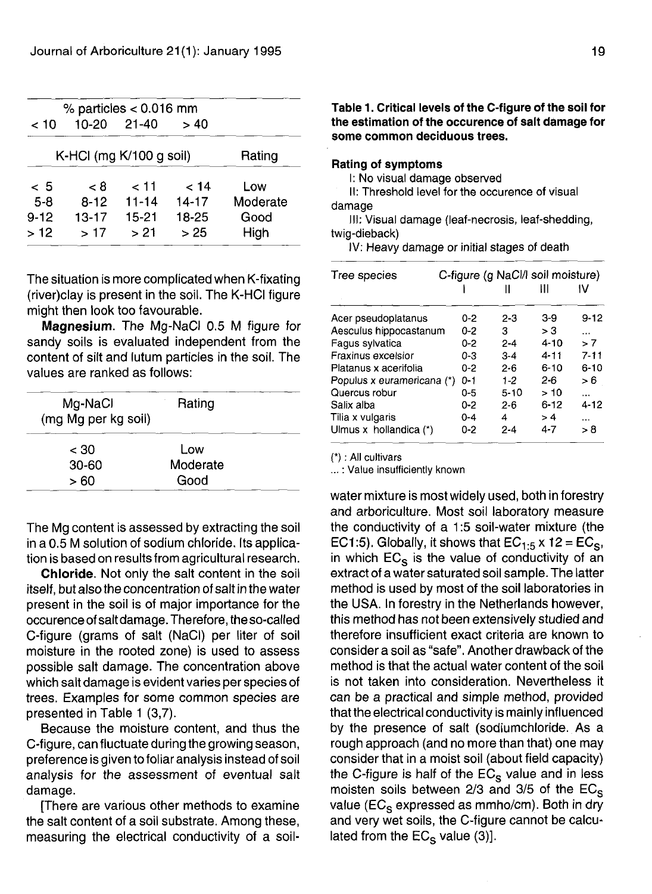|          | % particles $< 0.016$ mm  |           |           |          |
|----------|---------------------------|-----------|-----------|----------|
| 10 >     | 10-20                     | 21-40     | > 40      |          |
|          | K-HCI (mg $K/100$ g soil) |           |           | Rating   |
| - 5      | ہ ج                       | 11 >      | 14 >      | Low      |
| $5-8$    | $8 - 12$                  | $11 - 14$ | $14 - 17$ | Moderate |
| $9 - 12$ | $13 - 17$                 | $15 - 21$ | 18-25     | Good     |
| >12      | >17                       | > 21      | > 25      | High     |

The situation is more complicated when K-fixating (river)clay is present in the soil. The K-HCI figure might then look too favourable.

**Magnesium.** The Mg-NaCI 0.5 M figure for sandy soils is evaluated independent from the content of silt and lutum particles in the soil. The values are ranked as follows:

| Mg-NaCl<br>(mg Mg per kg soil) | Rating   |
|--------------------------------|----------|
| < 30                           | Low      |
| $30 - 60$                      | Moderate |
| > 60                           | Good     |

The Mg content is assessed by extracting the soil in a 0.5 M solution of sodium chloride. Its application is based on results from agricultural research.

**Chloride.** Not only the salt content in the soil itself, but also the concentration of salt in the water present in the soil is of major importance for the occurence of salt damage. Therefore, theso-called C-figure (grams of salt (NaCI) per liter of soil moisture in the rooted zone) is used to assess possible salt damage. The concentration above which salt damage is evident varies per species of trees. Examples for some common species are presented in Table 1 (3,7).

Because the moisture content, and thus the C-figure, can fluctuate during the growing season, preference is given to foliar analysis instead of soil analysis for the assessment of eventual salt damage.

[There are various other methods to examine the salt content of a soil substrate. Among these, measuring the electrical conductivity of a soil-

# Table 1. Critical levels **of the C-figure of the soil for the** estimation **of the occurence of salt damage for** some **common deciduous trees.**

#### **Rating of symptoms**

I: No visual damage observed

II: Threshold level for the occurence of visual damage

III: Visual damage (leaf-necrosis, leaf-shedding, twig-dieback)

IV: Heavy damage or initial stages of death

| Tree species               | C-figure (g NaCl/I soil moisture) |          |          |           |
|----------------------------|-----------------------------------|----------|----------|-----------|
|                            |                                   |          | Ш        |           |
| Acer pseudoplatanus        | $0 - 2$                           | 2-3      | 3-9      | $9 - 12$  |
| Aesculus hippocastanum     | $0 - 2$                           | з        | > 3      | $\cdots$  |
| Fagus sylvatica            | $0 - 2$                           | $2 - 4$  | $4 - 10$ | > 7       |
| Fraxinus excelsior         | $0-3$                             | $3 - 4$  | $4 - 11$ | $7 - 11$  |
| Platanus x acerifolia      | $0 - 2$                           | $2-6$    | $6 - 10$ | $6 - 10$  |
| Populus x euramericana (*) | $0 - 1$                           | $1-2$    | 2-6      | >6        |
| Quercus robur              | 0-5                               | $5 - 10$ | >10      | $\ddotsc$ |
| Salix alba                 | $0 - 2$                           | $2 - 6$  | $6 - 12$ | $4 - 12$  |
| Tilia x vulgaris           | $0 - 4$                           | 4        | >4       | $\cdots$  |
| Ulmus x hollandica (*)     | 0-2                               | 2-4      | 4-7      | > 8       |

(\*): All cultivars

...: Value insufficiently known

water mixture is most widely used, both in forestry and arboriculture. Most soil laboratory measure the conductivity of a 1:5 soil-water mixture (the EC1:5). Globally, it shows that  $EC_{1:5}$  x 12 =  $EC_{\rm S}$ , in which  $EC_{\rm s}$  is the value of conductivity of an extract of a water saturated soil sample. The latter method is used by most of the soil laboratories in the USA. In forestry in the Netherlands however, this method has not been extensively studied and therefore insufficient exact criteria are known to consider a soil as "safe". Another drawback of the method is that the actual water content of the soil is not taken into consideration. Nevertheless it can be a practical and simple method, provided that the electrical conductivity is mainly influenced by the presence of salt (sodiumchloride. As a rough approach (and no more than that) one may consider that in a moist soil (about field capacity) the C-figure is half of the  $EC_s$  value and in less moisten soils between 2/3 and 3/5 of the  $EC_s$ value (EC<sub>S</sub> expressed as mmho/cm). Both in dry and very wet soils, the C-figure cannot be calculated from the  $EC_S$  value (3)].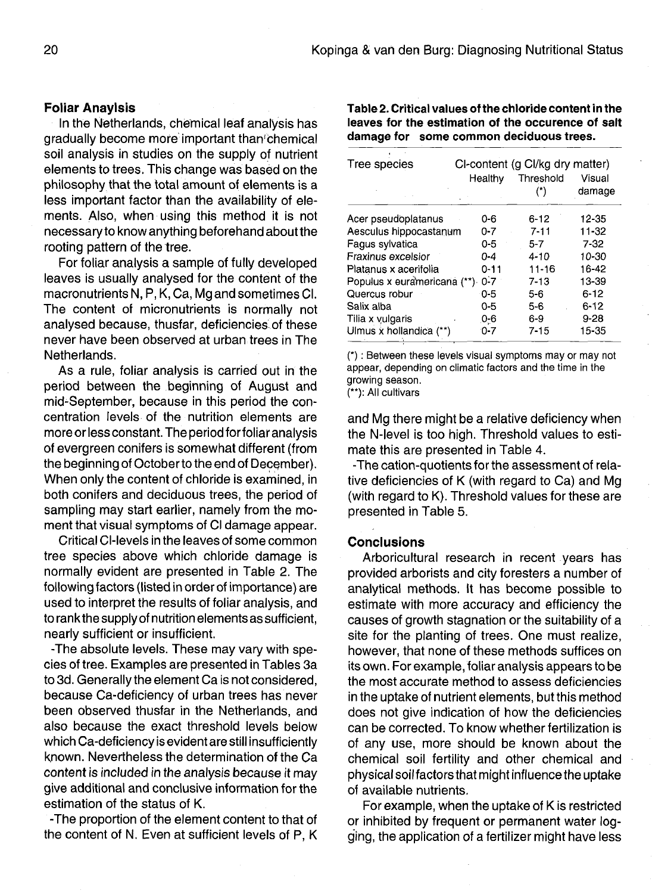# **Foliar Anaylsis**

In the Netherlands, chemical leaf analysis has gradually become more important than'chemical soil analysis in studies on the supply of nutrient elements to trees. This change was based on the philosophy that the total amount of elements is a less important factor than the availability of elements. Also, when using this method it is not necessary to know anything beforehand about the rooting pattern of the tree.

For foliar analysis a sample of fully developed leaves is usually analysed for the content of the macronutrients N, P, K, Ca, Mg and sometimes Cl. The content of micronutrients is normally not analysed because, thusfar, deficiencies of these never have been observed at urban trees in The Netherlands.

As a rule, foliar analysis is carried out in the period between the beginning of August and mid-September, because in this period the concentration levels of the nutrition elements are more or less constant. The period for foliar analysis of evergreen conifers is somewhat different (from the beginning of October to the end of December). When only the content of chloride is examined, in both conifers and deciduous trees, the period of sampling may start earlier, namely from the moment that visual symptoms of Cl damage appear.

Critical Cl-levels in the leaves of some common tree species above which chloride damage is normally evident are presented in Table 2. The following factors (listed in order of importance) are used to interpret the results of foliar analysis, and to rank the supply of nutrition elements as sufficient, nearly sufficient or insufficient.

-The absolute levels. These may vary with species of tree. Examples are presented in Tables 3a to 3d. Generally the element Ca is not considered, because Ca-deficiency of urban trees has never been observed thusfar in the Netherlands, and also because the exact threshold levels below which Ca-deficiency is evident are still insufficiently known. Nevertheless the determination of the Ca content is included in the analysis because it may give additional and conclusive information for the estimation of the status of K.

-The proportion of the element content to that of the content of N. Even at sufficient levels of P, K **Table 2. Critical values of the chloride content in the leaves for the estimation of the occurence of salt damage for some common deciduous trees.**

| Tree species                | CI-content (g CI/kg dry matter) |           |                  |  |  |
|-----------------------------|---------------------------------|-----------|------------------|--|--|
|                             | Healthy                         | Threshold | Visual<br>damage |  |  |
| Acer pseudoplatanus         | 0-6                             | $6 - 12$  | 12-35            |  |  |
| Aesculus hippocastanum      | $0 - 7$                         | $7 - 11$  | 11-32            |  |  |
| Fagus sylvatica             | 0-5                             | $5 - 7$   | $7 - 32$         |  |  |
| Fraxinus excelsior          | 0-4                             | $4 - 10$  | 10-30            |  |  |
| Platanus x acerifolia       | $0 - 11$                        | $11 - 16$ | 16-42            |  |  |
| Populus x euramericana (**) | $0 - 7$                         | $7 - 13$  | 13-39            |  |  |
| Quercus robur               | 0-5                             | 5-6       | $6 - 12$         |  |  |
| Salix alba                  | $0 - 5$                         | $5-6$     | $6 - 12$         |  |  |
| Tilia x vulgaris            | 0-6                             | $6 - 9$   | $9 - 28$         |  |  |
| Ulmus x hollandica (**)     | $0 - 7$                         | $7 - 15$  | 15-35            |  |  |

(\*): Between these levels visual symptoms may or may not appear, depending on climatic factors and the time in the growing season.

(\*\*): All cultivars

and Mg there might be a relative deficiency when the N-level is too high. Threshold values to estimate this are presented in Table 4.

-The cation-quotients for the assessment of relative deficiencies of K (with regard to Ca) and Mg (with regard to K). Threshold values for these are presented in Table 5.

#### **Conclusions**

Arboricultural research in recent years has provided arborists and city foresters a number of analytical methods. It has become possible to estimate with more accuracy and efficiency the causes of growth stagnation or the suitability of a site for the planting of trees. One must realize, however, that none of these methods suffices on its own. For example, foliar analysis appears to be the most accurate method to assess deficiencies in the uptake of nutrient elements, but this method does not give indication of how the deficiencies can be corrected. To know whether fertilization is of any use, more should be known about the chemical soil fertility and other chemical and physical soil factors that might influence the uptake of available nutrients.

For example, when the uptake of K is restricted or inhibited by frequent or permanent water logging, the application of a fertilizer might have less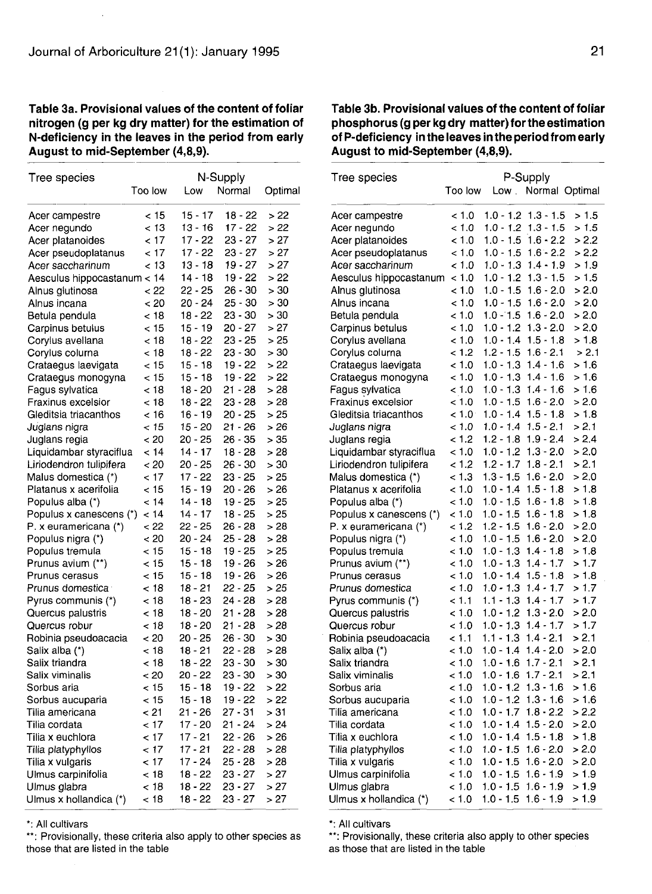## **Table 3a. Provisional values of the content of foliar nitrogen (g per kg dry matter) for the estimation of N-deficiency in the leaves in the period from early August to mid-September (4,8,9).**

| Tree species                  | N-Supply |           |           |         |
|-------------------------------|----------|-----------|-----------|---------|
|                               | Too low  | Low       | Normal    | Optimal |
| Acer campestre                | < 15     | 15 - 17   | $18 - 22$ | >22     |
| Acer negundo                  | < 13     | 13 - 16   | 17 - 22   | >22     |
| Acer platanoides              | < 17     | 17 - 22   | 23 - 27   | > 27    |
| Acer pseudoplatanus           | < 17     | 17 - 22   | 23 - 27   | > 27    |
| Acer saccharinum              | < 13     | 13 - 18   | 19 - 27   | > 27    |
| Aesculus hippocastanum < 14   |          | $14 - 18$ | 19 - 22   | > 22    |
| Alnus glutinosa               | - 22     | 22 - 25   | 26 - 30   | > 30    |
| Alnus incana                  | < 20     | $20 - 24$ | 25 - 30   | > 30    |
| Betula pendula                | < 18     | 18 - 22   | 23 - 30   | > 30    |
| Carpinus betulus              | < 15     | $15 - 19$ | 20 - 27   | >27     |
| Corylus avellana              | < 18     | 18 - 22   | 23 - 25   | > 25    |
| Corylus colurna               | < 18     | 18 - 22   | 23 - 30   | > 30    |
| Crataegus laevigata           | < 15     | $15 - 18$ | 19 - 22   | >22     |
| Crataegus monogyna            | < 15     | $15 - 18$ | 19 - 22   | >22     |
| Fagus sylvatica               | < 18     | 18 - 20   | 21 - 28   | > 28    |
| Fraxinus excelsior            | < 18     | 18 - 22   | 23 - 28   | > 28    |
| Gleditsia triacanthos         | < 16     | 16 - 19   | 20 - 25   | > 25    |
| Juglans nigra                 | < 15     | 15 - 20   | 21 - 26   | >26     |
| Juglans regia                 | < 20     | 20 - 25   | 26 - 35   | > 35    |
| Liquidambar styraciflua       | < 14     | 14 - 17   | 18 - 28   | > 28    |
| Liriodendron tulipifera       | < 20     | 20 - 25   | 26 - 30   | > 30    |
| Malus domestica (*)           | < 17     | 17 - 22   | $23 - 25$ | > 25    |
| Platanus x acerifolia         | < 15     | 15 - 19   | 20 - 26   | > 26    |
| Populus alba (*)              | < 14     | $14 - 18$ | 19 - 25   | > 25    |
| Populus x canescens (*)       | < 14     | 14 - 17   | 18 - 25   | >25     |
| P. x euramericana (*)         | < 22     | 22 - 25   | 26 - 28   | >28     |
| Populus nigra (*)             | < 20     | 20 - 24   | 25 - 28   | > 28    |
| Populus tremula               | < 15     | 15 - 18   | 19 - 25   | >25     |
| Prunus avium (**)             | < 15     | 15 - 18   | 19 - 26   | > 26    |
| Prunus cerasus                | < 15     | $15 - 18$ | 19 - 26   | >26     |
| Prunus domestica <sup>.</sup> | < 18     | 18 - 21   | $22 - 25$ | >25     |
| Pyrus communis (*)            | < 18     | 18 - 23   | $24 - 28$ | > 28    |
| Quercus palustris             | < 18     | 18 - 20   | 21 - 28   | > 28    |
| Quercus robur                 | < 18     | 18 - 20   | 21 - 28   | > 28    |
| Robinia pseudoacacia          | < 20     | 20 - 25   | 26 - 30   | > 30    |
| Salix alba (*)                | < 18     | 18 - 21   | 22 - 28   | > 28    |
| Salix triandra                | < 18     | 18 - 22   | 23 - 30   | > 30    |
| Salix viminalis               | < 20     | 20 - 22   | 23 - 30   | > 30    |
| Sorbus aria                   | < 15     | 15 - 18   | 19 - 22   | > 22    |
| Sorbus aucuparia              | < 15     | 15 - 18   | 19 - 22   | > 22    |
| Tilia americana               | < 21     | 21 - 26   | $27 - 31$ | > 31    |
| Tilia cordata                 | < 17     | $17 - 20$ | 21 - 24   | > 24    |
| Tilia x euchlora              | < 17     | $17 - 21$ | 22 - 26   | >26     |
| Tilia platyphyllos            | - 17     | 17 - 21   | 22 - 28   | >28     |
| Tilia x vulgaris              | < 17     | 17 - 24   | 25 - 28   | > 28    |
| Ulmus carpinifolia            | < 18     | 18 - 22   | 23 - 27   | >27     |
| Ulmus glabra                  | < 18     | 18 - 22   | 23 - 27   | > 27    |
| Ulmus x hollandica (*)        | < 18     | 18 - 22   | 23 - 27   | >27     |

\*: All cultivars

\*\*: Provisionally, these criteria also apply to other species as those that are listed in the table

# **Table 3b. Provisional values of the content of foliar phosphorus (g per kg dry matter) for the estimation of P-def iciency in the leaves in the period from early August to mid-September (4,8,9).**

| Tree species            |         |             | P-Supply             |       |
|-------------------------|---------|-------------|----------------------|-------|
|                         | Too low |             | Low . Normal Optimal |       |
|                         |         |             |                      |       |
| Acer campestre          | < 1.0   | $1.0 - 1.2$ | $1.3 - 1.5$          | > 1.5 |
| Acer negundo            | < 1.0   | $1.0 - 1.2$ | $1.3 - 1.5$          | > 1.5 |
| Acer platanoides        | < 1.0   | 1.0 - 1.5   | $1.6 - 2.2$          | > 2.2 |
| Acer pseudoplatanus     | < 1.0   | $1.0 - 1.5$ | $1.6 - 2.2$          | > 2.2 |
| Acer saccharinum        | < 1.0   | $1.0 - 1.3$ | $1.4 - 1.9$          | >1.9  |
| Aesculus hippocastanum  | < 1.0   | 1.0 - 1.2   | $1.3 - 1.5$          | > 1.5 |
| Alnus glutinosa         | < 1.0   | $1.0 - 1.5$ | $1.6 - 2.0$          | > 2.0 |
| Alnus incana            | < 1.0   | $1.0 - 1.5$ | $1.6 - 2.0$          | > 2.0 |
| Betula pendula          | < 1.0   | $1.0 - 1.5$ | $1.6 - 2.0$          | > 2.0 |
| Carpinus betulus        | < 1.0   | $1.0 - 1.2$ | $1.3 - 2.0$          | > 2.0 |
| Corylus avellana        | < 1.0   | $1.0 - 1.4$ | $1.5 - 1.8$          | > 1.8 |
| Corylus colurna         | < 1.2   | $1.2 - 1.5$ | $1.6 - 2.1$          | > 2.1 |
| Crataegus laevigata     | < 1.0   | $1.0 - 1.3$ | $1.4 - 1.6$          | >1.6  |
| Crataegus monogyna      | 1.0     | $1.0 - 1.3$ | $1.4 - 1.6$          | >1.6  |
| Fagus sylvatica         | < 1.0   | $1.0 - 1.3$ | $1.4 - 1.6$          | > 1.6 |
| Fraxinus excelsior      | < 1.0   | $1.0 - 1.5$ | $1.6 - 2.0$          | > 2.0 |
| Gleditsia triacanthos   | < 1.0   | $1.0$ 1.4   | $1.5 - 1.8$          | > 1.8 |
| Juglans nigra           | < 1.0   | $1.0 - 1.4$ | $1.5 - 2.1$          | > 2.1 |
| Juglans regia           | < 1.2   | $1.2 - 1.8$ | $1.9 - 2.4$          | > 2.4 |
| Liquidambar styraciflua | < 1.0   | $1.0 - 1.2$ | 1.3 - 2.0            | > 2.0 |
| Liriodendron tulipifera | 1.2     | $1.2 - 1.7$ | $1.8 - 2.1$          | > 2.1 |
| Malus domestica (*)     | < 1.3   | $1.3 - 1.5$ | $1.6 - 2.0$          | > 2.0 |
| Platanus x acerifolia   | < 1.0   | $1.0 - 1.4$ | $1.5 - 1.8$          | > 1.8 |
| Populus alba (*)        | 1.0     | $1.0 - 1.5$ | $1.6 - 1.8$          | >1.8  |
| Populus x canescens (*) | < 1.0   | $1.0 - 1.5$ | $1.6 - 1.8$          | >1.8  |
| P. x euramericana (*)   | < 1.2   | $1.2 - 1.5$ | $1.6 - 2.0$          | > 2.0 |
| Populus nigra (*)       | < 1.0   | $1.0 - 1.5$ | 1.6 - 2.0            | > 2.0 |
| Populus tremula         | < 1.0   | $1.0 - 1.3$ | $1.4 - 1.8$          | >1.8  |
| Prunus avium (**)       | < 1.0   | $1.0 - 1.3$ | $1.4 - 1.7$          | >1.7  |
| Prunus cerasus          | 1.0     | $1.0 - 1.4$ | $1.5 - 1.8$          | > 1.8 |
| Prunus domestica        | < 1.0   | $1.0 - 1.3$ | $1.4 - 1.7$          | >1.7  |
| Pyrus communis (*)      | < 1.1   | $1.1 - 1.3$ | $1.4 - 1.7$          | >1.7  |
| Quercus palustris       | < 1.0   | $1.0 - 1.2$ | $1.3 - 2.0$          | > 2.0 |
| Quercus robur           | < 1.0   | $1.0 - 1.3$ | $1.4 - 1.7$          | >1.7  |
| Robinia pseudoacacia    | < 1.1   | $1.1 - 1.3$ | $1.4 - 2.1$          | > 2.1 |
| Salix alba (*)          | < 1.0   | $1.0 - 1.4$ | $1.4 - 2.0$          | > 2.0 |
| Salix triandra          | < 1.0   | $1.0 - 1.6$ | $1.7 - 2.1$          | > 2.1 |
| Salix viminalis         | < 1.0   | $1.0 - 1.6$ | $1.7 - 2.1$          | > 2.1 |
| Sorbus aria             | < 1.0   | $1.0 - 1.2$ | $1.3 - 1.6$          | > 1.6 |
| Sorbus aucuparia        | < 1.0   | $1.0 - 1.2$ | $1.3 - 1.6$          | >1.6  |
| Tilia americana         | < 1.0   | 1.0 - 1.7   | $1.8 - 2.2$          | > 2.2 |
| Tilia cordata           | < 1.0   | $1.0 - 1.4$ | $1.5 - 2.0$          | > 2.0 |
| Tilia x euchlora        | < 1.0   | $1.0 - 1.4$ | $1.5 - 1.8$          | > 1.8 |
| Tilia platyphyllos      | < 1.0   | $1.0 - 1.5$ | $1.6 - 2.0$          | > 2.0 |
| Tilia x vulgaris        | < 1.0   | $1.0 - 1.5$ | 1.6 - 2.0            | > 2.0 |
| Ulmus carpinifolia      | < 1.0   | $1.0 - 1.5$ | $1.6 - 1.9$          | >1.9  |
| Ulmus glabra            | 1.0     | $1.0 - 1.5$ | $1.6 - 1.9$          | >1.9  |
| Ulmus x hollandica (*)  | < 1.0   | $1.0 - 1.5$ | $1.6 - 1.9$          | > 1.9 |
|                         |         |             |                      |       |

\*: All cultivars

\*\*: Provisionally, these criteria also apply to other species as those that are listed in the table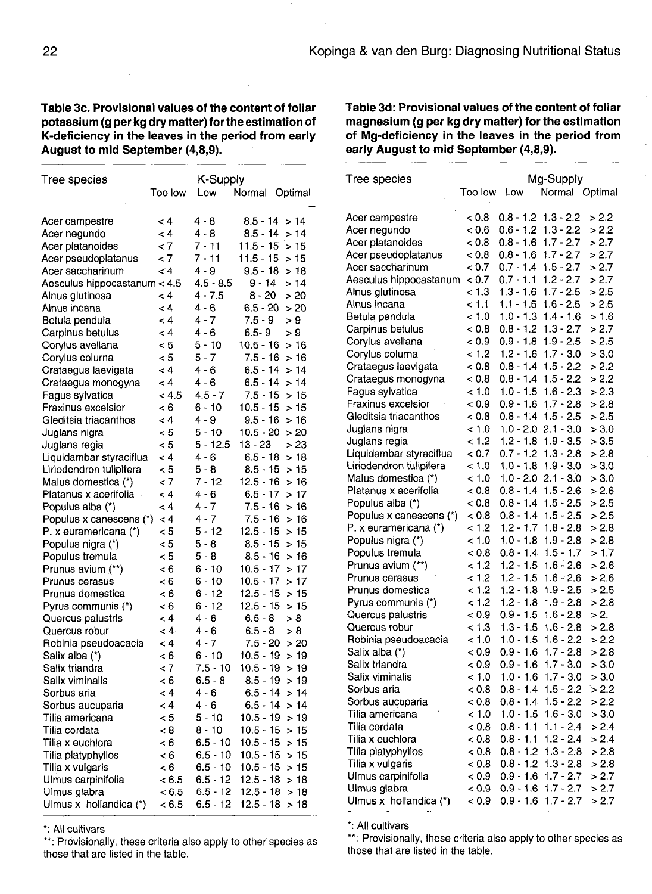**Table 3c. Provisional values of the content of foliar potassium (g per kg dry matter) for the estimation of K-deficiency in the leaves in the period from early August to mid September (4,8,9).**

Tree species Acer campestre Acer negundo Acer platanoides Acer pseudoplatanus Acer saccharinum roo low  $< 4$  $< 4$  $< 7$  $< 7$  $\lt 4$ Aesculus hippocastanum < 4.5 Alnus glutinosa Alnus incana Betula pendula Carpinus betulus Corylus avellana Corylus colurna Crataegus laevigata Crataegus monogyna Fagus sylvatica Fraxinus excelsior Gleditsia triacanthos Juglans nigra Juglans regia Liquidambar styraciflua <4 Liriodendron tulipifera Malus domestica (\*) Platanus x acerifolia Populus alba (\*) Populus x canescens (\*) <4 P. x euramericana (\*) Populus nigra (\*) Populus tremula Prunus avium (\*\*) Prunus cerasus Prunus domestica Pyrus communis (\*) Quercus palustris Quercus robur Robinia pseudoacacia Salix alba (\*) Salix triandra Salix viminalis Sorbus aria Sorbus aucuparia Tilia americana Tilia cordata Tilia x euchlora Tilia platyphyllos Tilia x vulgaris Ulmus carpinifolia Ulmus glabra Ulmus x hollandica (\*)  $< 4$  $< 4$  $< 4$  $< 4$  $< 5$  $< 5$  $< 4$  $< 4$  $< 4.5$  4.5 - 7  $< 6$  $< 4$  $< 5$  $< 5$ <5  $< 7$ <4  $< 4$  $< 5$  $< 5$  $< 5$  $< 6$  $< 6$  $< 6$ <6  $< 4$  $< 4$ <4  $< 6$  $< 7$  $< 6$  $< 4$  $< 4$  $< 5$  $< 8$  $< 6$  $< 6$  $< 6$  $< 6.5$  $< 6.5$  $< 6.5$ K-Supply Low 1 4-8 4 - 8 7-11 7-11  $4 - 9$ 4.5 - 8.5 4-7.5  $4 - 6$  $4 - 7$  $4 - 6$ 5-10  $5 - 7$  $4 - 6$ 4 - 6 6-10 4 - 9 5- 10 5- 12.5 13-23 >23  $4 - 6$ 5 - 8 7- 12 4 - 6  $4 - 7$  $4 - 7$  $5 - 12$ 5 - 8 5 - 8 6-10 6-10 6-12 6-12 4 - 6  $4 - 6$  $4 - 7$ 6-10 7.5-10 10.5- 19 >19 6.5-8 4 - 6  $4 - 6$  $5 - 10$ 8-10 6.5-10 10.5-15 >15 6.5- 10 10.5- 15 > 15 6.5-10 10.5-15 >15 6.5-12 12.5- 18 > 18 6.5-12 12.5- 18 > 18 6.5- 12 12.5- 18 > 18 Normal Optimal  $8.5 - 14 > 14$  $8.5 - 14 > 14$  $11.5 - 15 > 15$  $11.5 - 15 > 15$  $9.5 - 18 > 18$  $9 - 14 > 14$  $8 - 20 > 20$  $6.5 - 20 > 20$  $7.5 - 9 > 9$ <br>6.5-9 > 9  $6.5 - 9$ 10.5-16 >16  $7.5 - 16 > 16$  $6.5 - 14 > 14$  $6.5 - 14 > 14$  $7.5 - 15 > 15$  $10.5 - 15 > 15$  $9.5 - 16 > 16$  $10.5 - 20 > 20$  $6.5 - 18 > 18$  $8.5 - 15 > 15$  $12.5 - 16 > 16$  $6.5 - 17 > 17$  $7.5 - 16 > 16$  $7.5 - 16 > 16$  $12.5 - 15 > 15$  $8.5 - 15 > 15$  $8.5 - 16 > 16$  $10.5 - 17 > 17$  $10.5 - 17 > 17$  $12.5 - 15 > 15$  $12.5 - 15 > 15$  $6.5 - 8 > 8$  $6.5 - 8 > 8$  $7.5 - 20 > 20$  $10.5 - 19 > 19$  $8.5 - 19 > 19$  $6.5 - 14 > 14$  $6.5 - 14 > 14$  $10.5 - 19 > 19$  $10.5 - 15 > 15$ 

\*: All cultivars

\*\*: Provisionally, these criteria also apply to other species as those that are listed in the table.

**Table 3d: Provisional values of the content of foliar magnesium (g per kg dry matter) for the estimation of Mg-deficiency in the leaves in the period from early August to mid September (4,8,9).**

| Tree species            | Too low     | Low         | Mg-Supply<br>Normal | Optimal |
|-------------------------|-------------|-------------|---------------------|---------|
|                         |             |             |                     |         |
| Acer campestre          | < 0.8       | $0.8 - 1.2$ | $1.3 - 2.2$         | > 2.2   |
| Acer negundo            | < 0.6       | $0.6 - 1.2$ | $1.3 - 2.2$         | > 2.2   |
| Acer platanoides        | < 0.8       | $0.8 - 1.6$ | $1.7 - 2.7$         | > 2.7   |
| Acer pseudoplatanus     | < 0.8       | $0.8 - 1.6$ | $1.7 - 2.7$         | > 2.7   |
| Acer saccharinum        | < 0.7       | $0.7 - 1.4$ | $1.5 - 2.7$         | > 2.7   |
| Aesculus hippocastanum  | < 0.7       | $0.7 - 1.1$ | $1.2 - 2.7$         | > 2.7   |
| Alnus glutinosa         | < 1.3       | $1.3 - 1.6$ | $1.7 - 2.5$         | > 2.5   |
| Alnus incana            | < 1.1       | $1.1 - 1.5$ | $1.6 - 2.5$         | > 2.5   |
| Betula pendula          | < 1.0       | 1.0 - 1.3   | $1.4 - 1.6$         | >1.6    |
| Carpinus betulus        | < 0.8       | $0.8 - 1.2$ | $1.3 - 2.7$         | > 2.7   |
| Corylus avellana        | < 0.9       | 0.9 - 1.8   | 1.9 - 2.5           | > 2.5   |
| Corylus colurna         | < 1.2       | $1.2 - 1.6$ | $1.7 - 3.0$         | > 3.0   |
| Crataegus laevigata     | < 0.8       | $0.8 - 1.4$ | $1.5 - 2.2$         | > 2.2   |
| Crataegus monogyna      | < 0.8       | $0.8 - 1.4$ | $1.5 - 2.2$         | > 2.2   |
| Fagus sylvatica         | < 1.0       | $1.0 - 1.5$ | $1.6 - 2.3$         | > 2.3   |
| Fraxinus excelsior      | < 0.9       | $0.9 - 1.6$ | $1.7 - 2.8$         | > 2.8   |
| Gleditsia triacanthos   | < 0.8       | $0.8 - 1.4$ | $1.5 - 2.5$         | > 2.5   |
| Juglans nigra           | < 1.0       | $1.0 - 2.0$ | $2.1 - 3.0$         | > 3.0   |
| Juglans regia           | < 1.2       | $1.2 - 1.8$ | $1.9 - 3.5$         | > 3.5   |
| Liquidambar styraciflua | < 0.7       | $0.7 - 1.2$ | $1.3 - 2.8$         | > 2.8   |
| Liriodendron tulipifera | < 1.0       | $1.0 - 1.8$ | $1.9 - 3.0$         | > 3.0   |
| Malus domestica (*)     | < 1.0       | $1.0 - 2.0$ | $2.1 - 3.0$         | > 3.0   |
| Platanus x acerifolia   | < 0.8       | $0.8 - 1.4$ | $1.5 - 2.6$         | > 2.6   |
| Populus alba (*)        | < 0.8       | $0.8 - 1.4$ | $1.5 - 2.5$         | > 2.5   |
| Populus x canescens (*) | < 0.8       | $0.8 - 1.4$ | $1.5 - 2.5$         | > 2.5   |
| P. x euramericana (*)   | < 1.2       | $1.2 - 1.7$ | $1.8 - 2.8$         | > 2.8   |
| Populus nigra (*)       | < 1.0       | $1.0 - 1.8$ | $1.9 - 2.8$         | > 2.8   |
| Populus tremula         | ${}_{<}0.8$ | 0.8 - 1.4   | $1.5 - 1.7$         | >1.7    |
| Prunus avium (**)       | < 1.2       | $1.2 - 1.5$ | $1.6 - 2.6$         | > 2.6   |
| Prunus cerasus          | < 1.2       | 1.2 - 1.5   | $1.6 - 2.6$         | > 2.6   |
| Prunus domestica        | < 1.2       | $1.2 - 1.8$ | 1.9 - 2.5           | > 2.5   |
| Pyrus communis (*)      | < 1.2       | $1.2 - 1.8$ | $1.9 - 2.8$         | > 2.8   |
| Quercus palustris       | < 0.9       | $0.9 - 1.5$ | $1.6 - 2.8$         | > 2.    |
| Quercus robur           | < 1.3       | $1.3 - 1.5$ | $1.6 - 2.8$         | > 2.8   |
| Robinia pseudoacacia    | < 1.0       | 1.0 - 1.5   | $1.6 - 2.2$         | > 2.2   |
| Salix alba (*)          | < 0.9       | 0.9 - 1.6   | $1.7 - 2.8$         | > 2.8   |
| Salix triandra          | < 0.9       | $0.9 - 1.6$ | $1.7 - 3.0$         | > 3.0   |
| Salix viminalis         | 1.0         | $1.0 - 1.6$ | $1.7 - 3.0$         | > 3.0   |
| Sorbus aria             | < 0.8       | 0.8 - 1.4   | 1.5 2.2             | > 2.2   |
| Sorbus aucuparia        | < 0.8       | $0.8 - 1.4$ | $1.5 - 2.2$         | > 2.2   |
| Tilia americana         | < 1.0       | 1.0 - 1.5   | $1.6 - 3.0$         | > 3.0   |
| Tilia cordata           | < 0.8       | $0.8 - 1.1$ | $1.1 - 2.4$         | > 2.4   |
| Tilia x euchlora        | < 0.8       | $0.8 - 1.1$ | $1.2 - 2.4$         | > 2.4   |
| Tilia platyphyllos      | < 0.8       | $0.8 - 1.2$ | $1.3 - 2.8$         | > 2.8   |
| Tilia x vulgaris        | < 0.8       | 0.8 - 1.2   | $1.3 - 2.8$         | > 2.8   |
| Ulmus carpinifolia      | < 0.9       | 0.9 - 1.6   | $1.7 - 2.7$         | > 2.7   |
| Ulmus glabra            | < 0.9       | 0.9 - 1.6   | $1.7 - 2.7$         | > 2.7   |
| Ulmus x hollandica (*)  | < 0.9       | 0.9 - 1.6   | $1.7 - 2.7$         | > 2.7   |

\*: All cultivars

\*\*: Provisionally, these criteria also apply to other species as those that are listed in the table.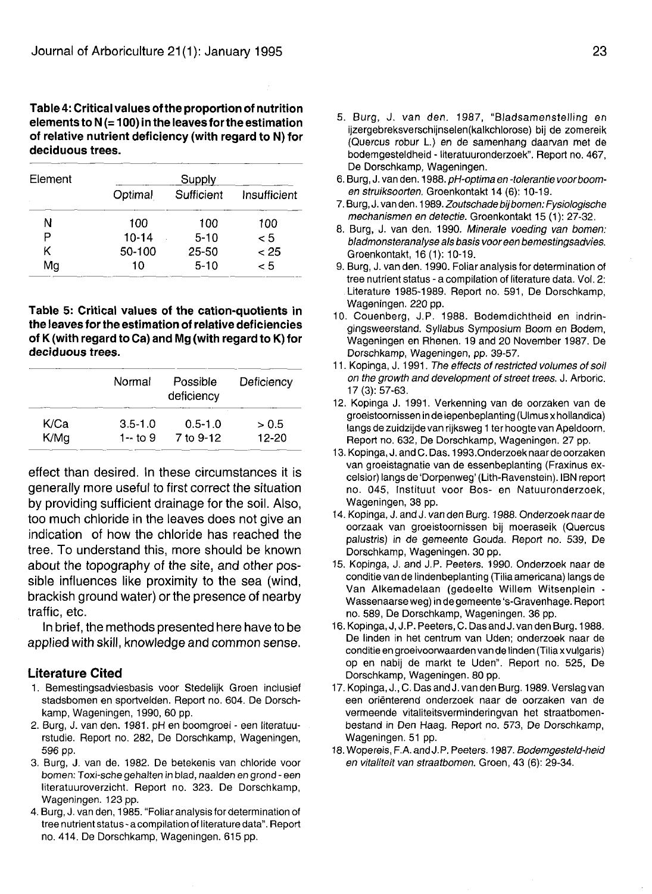#### **Table 4: Critical values of the proportion of nutrition elements to N (= 100) in the leaves for the estimation of relative nutrient deficiency (with regard to N) for deciduous trees.**

| Element | Supply    |            |              |  |
|---------|-----------|------------|--------------|--|
|         | Optimal   | Sufficient | Insufficient |  |
| Ν       | 100       | 100        | 100          |  |
| P       | $10 - 14$ | $5 - 10$   | < 5          |  |
| κ       | 50-100    | $25 - 50$  | < 25         |  |
| Mg      | 10        | $5-10$     | < 5          |  |

#### **Table 5: Critical values of the cation-quotients in the leaves for the estimation of relative deficiencies of K (with regard to Ca) and Mg (with regard to K) for deciduous trees.**

|      | Normal      | Possible<br>deficiency | Deficiency |
|------|-------------|------------------------|------------|
| K/Ca | $3.5 - 1.0$ | $0.5 - 1.0$            | > 0.5      |
| K/Mg | 1 -- to $9$ | 7 to 9-12              | 12-20      |

effect than desired. In these circumstances it is generally more useful to first correct the situation by providing sufficient drainage for the soil. Also, too much chloride in the leaves does not give an indication of how the chloride has reached the tree. To understand this, more should be known about the topography of the site, and other possible influences like proximity to the sea (wind, brackish ground water) or the presence of nearby traffic, etc.

In brief, the methods presented here have to be applied with skill, knowledge and common sense.

# **Literature Cited**

- 1. Bemestingsadviesbasis voor Stedelijk Groen inclusief stadsbomen en sportvelden. Report no. 604. De Dorschkamp, Wageningen, 1990, 60 pp.
- 2. Burg, J. van den. 1981. pH en boomgroei een literatuurstudie. Report no. 282, De Dorschkamp, Wageningen, 596 pp.
- 3. Burg, J. van de. 1982. De betekenis van chloride voor bomen: Toxi-sche gehalten in blad, naalden en grond - een literatuuroverzicht. Report no. 323. De Dorschkamp, Wageningen. 123 pp.
- 4. Burg, J. van den, 1985. "Foliar analysis for determination of tree nutrient status - a compilation of literature data". Report no. 414. De Dorschkamp, Wageningen. 615 pp.
- 5. Burg, J. van den. 1987, "Bladsamenstelling en ijzergebreksverschijnselen(kalkchlorose) bij de zomereik (Quercus robur L.) en de samenhang daarvan met de bodemgesteldheid - literatuuronderzoek". Report no. 467, De Dorschkamp, Wageningen.
- 6. Burg, J. van den. 1988. pH-optima en -tolerantie voor boomen struiksoorten. Groenkontakt 14 (6): 10-19.
- 7. Burg, J. van den. 1989. Zoutschade bij bomen: Fysiologische mechanismen en detectie. Groenkontakt 15 (1): 27-32.
- 8. Burg, J. van den. 1990. Minerale voeding van bomen: bladmonsteranalyse als basis voor een bemestingsadvies. Groenkontakt, 16(1): 10-19.
- 9. Burg, J. van den. 1990. Foliar analysis for determination of tree nutrient status - a compilation of literature data. Vol. 2: Literature 1985-1989. Report no. 591, De Dorschkamp, Wageningen. 220 pp.
- 10. Couenberg, J.P. 1988. Bodemdichtheid en indringingsweerstand. Syllabus Symposium Boom en Bodem, Wageningen en Rhenen. 19 and 20 November 1987. De Dorschkamp, Wageningen, pp. 39-57.
- 11. Kopinga, J. 1991. The effects of restricted volumes of soil on the growth and development of street trees. J. Arboric. 17 (3): 57-63.
- 12. Kopinga J. 1991. Verkenning van de oorzaken van de groeistoornissen in de iepenbeplanting (Ulmus x hollandica) langs de zuidzijde van rijksweg 1 ter hoogte van Apeldoorn. Report no. 632, De Dorschkamp, Wageningen. 27 pp.
- 13. Kopinga, J. and C. Das. 1993.Onderzoek naar de oorzaken van groeistagnatie van de essenbeplanting (Fraxinus excelsior) langs de 'Dorpenweg' (Lith-Ravenstein). IBN report no. 045, Instituut voor Bos- en Natuuronderzoek, Wageningen, 38 pp.
- 14. Kopinga, J. and J. van den Burg. 1988. Onderzoek naar de oorzaak van groeistoornissen bij moeraseik (Quercus palustris) in de gemeente Gouda. Report no. 539, De Dorschkamp, Wageningen. 30 pp.
- 15. Kopinga, J. and J.P. Peeters. 1990. Onderzoek naar de conditie van de lindenbeplanting (Tilia americana) langs de Van Alkemadelaan (gedeelte Willem Witsenplein - Wassenaarse weg) in de gemeente 's-Gravenhage. Report no. 589, De Dorschkamp, Wageningen. 36 pp.
- 16. Kopinga, J, J.P. Peeters, C. Das and J. van den Burg. 1988. De linden in het centrum van Uden; onderzoek naar de conditie en groeivoorwaarden van de linden (Tiliax vulgaris) op en nabij de markt te Uden". Report no. 525, De Dorschkamp, Wageningen. 80 pp.
- 17. Kopinga, J., C. Das and J. van den Burg. 1989. Verslag van een orienterend onderzoek naar de oorzaken van de vermeende vitaliteitsverminderingvan het straatbomenbestand in Den Haag. Report no. 573, De Dorschkamp, Wageningen. 51 pp.
- 18. Wopereis, F.A. and J.P. Peeters. 1987. Bodemgesteld-heid en vitaliteit van straatbomen. Groen, 43 (6): 29-34.